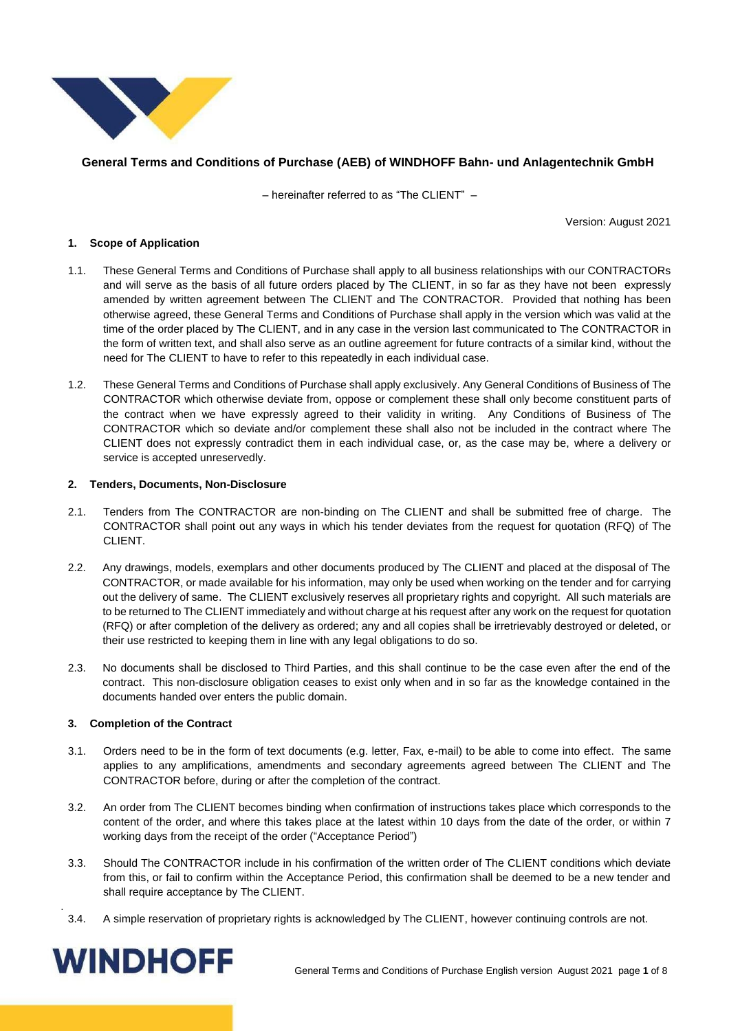

### **General Terms and Conditions of Purchase (AEB) of WINDHOFF Bahn- und Anlagentechnik GmbH**

– hereinafter referred to as "The CLIENT" –

Version: August 2021

#### **1. Scope of Application**

- 1.1. These General Terms and Conditions of Purchase shall apply to all business relationships with our CONTRACTORs and will serve as the basis of all future orders placed by The CLIENT, in so far as they have not been expressly amended by written agreement between The CLIENT and The CONTRACTOR. Provided that nothing has been otherwise agreed, these General Terms and Conditions of Purchase shall apply in the version which was valid at the time of the order placed by The CLIENT, and in any case in the version last communicated to The CONTRACTOR in the form of written text, and shall also serve as an outline agreement for future contracts of a similar kind, without the need for The CLIENT to have to refer to this repeatedly in each individual case.
- 1.2. These General Terms and Conditions of Purchase shall apply exclusively. Any General Conditions of Business of The CONTRACTOR which otherwise deviate from, oppose or complement these shall only become constituent parts of the contract when we have expressly agreed to their validity in writing. Any Conditions of Business of The CONTRACTOR which so deviate and/or complement these shall also not be included in the contract where The CLIENT does not expressly contradict them in each individual case, or, as the case may be, where a delivery or service is accepted unreservedly.

#### **2. Tenders, Documents, Non-Disclosure**

- 2.1. Tenders from The CONTRACTOR are non-binding on The CLIENT and shall be submitted free of charge. The CONTRACTOR shall point out any ways in which his tender deviates from the request for quotation (RFQ) of The CLIENT.
- 2.2. Any drawings, models, exemplars and other documents produced by The CLIENT and placed at the disposal of The CONTRACTOR, or made available for his information, may only be used when working on the tender and for carrying out the delivery of same. The CLIENT exclusively reserves all proprietary rights and copyright. All such materials are to be returned to The CLIENT immediately and without charge at his request after any work on the request for quotation (RFQ) or after completion of the delivery as ordered; any and all copies shall be irretrievably destroyed or deleted, or their use restricted to keeping them in line with any legal obligations to do so.
- 2.3. No documents shall be disclosed to Third Parties, and this shall continue to be the case even after the end of the contract. This non-disclosure obligation ceases to exist only when and in so far as the knowledge contained in the documents handed over enters the public domain.

#### **3. Completion of the Contract**

- 3.1. Orders need to be in the form of text documents (e.g. letter, Fax, e-mail) to be able to come into effect. The same applies to any amplifications, amendments and secondary agreements agreed between The CLIENT and The CONTRACTOR before, during or after the completion of the contract.
- 3.2. An order from The CLIENT becomes binding when confirmation of instructions takes place which corresponds to the content of the order, and where this takes place at the latest within 10 days from the date of the order, or within 7 working days from the receipt of the order ("Acceptance Period")
- 3.3. Should The CONTRACTOR include in his confirmation of the written order of The CLIENT conditions which deviate from this, or fail to confirm within the Acceptance Period, this confirmation shall be deemed to be a new tender and shall require acceptance by The CLIENT.
- 3.4. A simple reservation of proprietary rights is acknowledged by The CLIENT, however continuing controls are not.

# **WINDHOFF**

.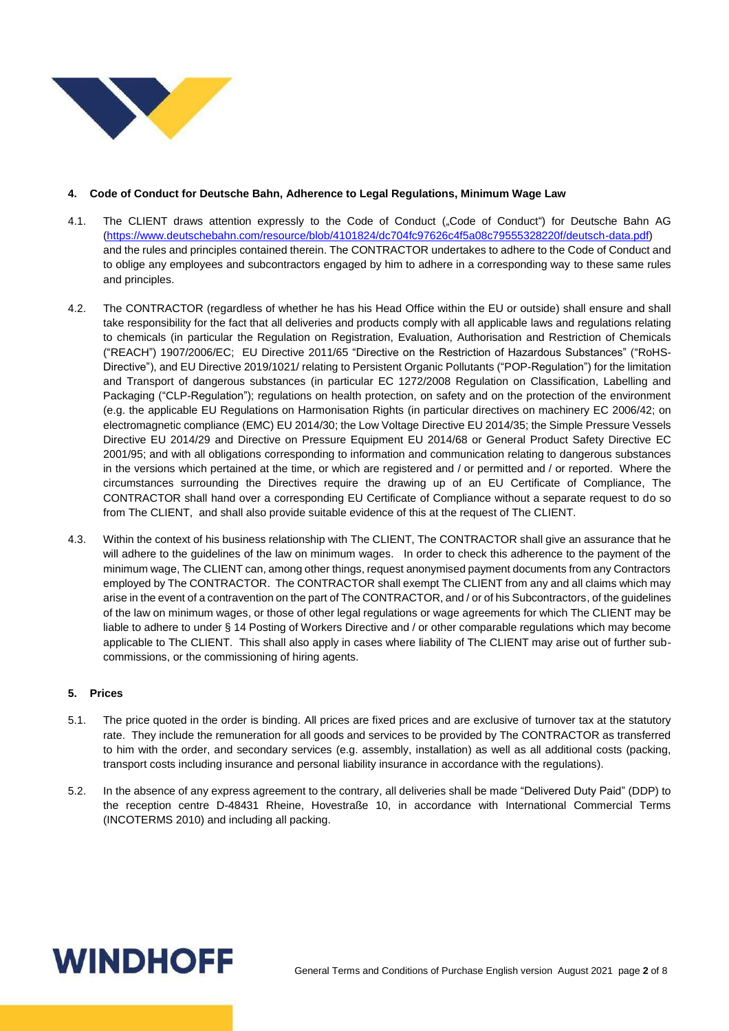

#### **4. Code of Conduct for Deutsche Bahn, Adherence to Legal Regulations, Minimum Wage Law**

- 4.1. The CLIENT draws attention expressly to the Code of Conduct ("Code of Conduct") for Deutsche Bahn AG [\(https://www.deutschebahn.com/resource/blob/4101824/dc704fc97626c4f5a08c79555328220f/deutsch-data.pdf\)](https://www.deutschebahn.com/resource/blob/4101824/dc704fc97626c4f5a08c79555328220f/deutsch-data.pdf) and the rules and principles contained therein. The CONTRACTOR undertakes to adhere to the Code of Conduct and to oblige any employees and subcontractors engaged by him to adhere in a corresponding way to these same rules and principles.
- 4.2. The CONTRACTOR (regardless of whether he has his Head Office within the EU or outside) shall ensure and shall take responsibility for the fact that all deliveries and products comply with all applicable laws and regulations relating to chemicals (in particular the Regulation on Registration, Evaluation, Authorisation and Restriction of Chemicals ("REACH") 1907/2006/EC; EU Directive 2011/65 "Directive on the Restriction of Hazardous Substances" ("RoHS-Directive"), and EU Directive 2019/1021/ relating to Persistent Organic Pollutants ("POP-Regulation") for the limitation and Transport of dangerous substances (in particular EC 1272/2008 Regulation on Classification, Labelling and Packaging ("CLP-Regulation"); regulations on health protection, on safety and on the protection of the environment (e.g. the applicable EU Regulations on Harmonisation Rights (in particular directives on machinery EC 2006/42; on electromagnetic compliance (EMC) EU 2014/30; the Low Voltage Directive EU 2014/35; the Simple Pressure Vessels Directive EU 2014/29 and Directive on Pressure Equipment EU 2014/68 or General Product Safety Directive EC 2001/95; and with all obligations corresponding to information and communication relating to dangerous substances in the versions which pertained at the time, or which are registered and / or permitted and / or reported. Where the circumstances surrounding the Directives require the drawing up of an EU Certificate of Compliance, The CONTRACTOR shall hand over a corresponding EU Certificate of Compliance without a separate request to do so from The CLIENT, and shall also provide suitable evidence of this at the request of The CLIENT.
- 4.3. Within the context of his business relationship with The CLIENT, The CONTRACTOR shall give an assurance that he will adhere to the guidelines of the law on minimum wages. In order to check this adherence to the payment of the minimum wage, The CLIENT can, among other things, request anonymised payment documents from any Contractors employed by The CONTRACTOR. The CONTRACTOR shall exempt The CLIENT from any and all claims which may arise in the event of a contravention on the part of The CONTRACTOR, and / or of his Subcontractors, of the guidelines of the law on minimum wages, or those of other legal regulations or wage agreements for which The CLIENT may be liable to adhere to under § 14 Posting of Workers Directive and / or other comparable regulations which may become applicable to The CLIENT. This shall also apply in cases where liability of The CLIENT may arise out of further subcommissions, or the commissioning of hiring agents.

### **5. Prices**

- 5.1. The price quoted in the order is binding. All prices are fixed prices and are exclusive of turnover tax at the statutory rate. They include the remuneration for all goods and services to be provided by The CONTRACTOR as transferred to him with the order, and secondary services (e.g. assembly, installation) as well as all additional costs (packing, transport costs including insurance and personal liability insurance in accordance with the regulations).
- 5.2. In the absence of any express agreement to the contrary, all deliveries shall be made "Delivered Duty Paid" (DDP) to the reception centre D-48431 Rheine, Hovestraße 10, in accordance with International Commercial Terms (INCOTERMS 2010) and including all packing.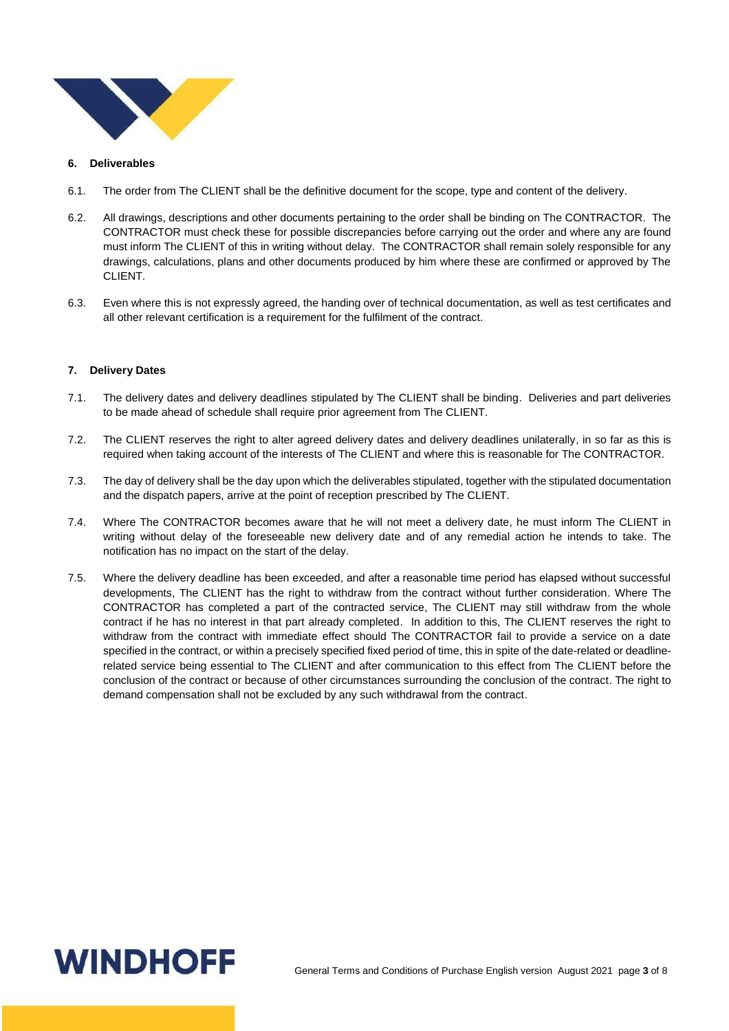

#### **6. Deliverables**

- 6.1. The order from The CLIENT shall be the definitive document for the scope, type and content of the delivery.
- 6.2. All drawings, descriptions and other documents pertaining to the order shall be binding on The CONTRACTOR. The CONTRACTOR must check these for possible discrepancies before carrying out the order and where any are found must inform The CLIENT of this in writing without delay. The CONTRACTOR shall remain solely responsible for any drawings, calculations, plans and other documents produced by him where these are confirmed or approved by The CLIENT.
- 6.3. Even where this is not expressly agreed, the handing over of technical documentation, as well as test certificates and all other relevant certification is a requirement for the fulfilment of the contract.

#### **7. Delivery Dates**

- 7.1. The delivery dates and delivery deadlines stipulated by The CLIENT shall be binding. Deliveries and part deliveries to be made ahead of schedule shall require prior agreement from The CLIENT.
- 7.2. The CLIENT reserves the right to alter agreed delivery dates and delivery deadlines unilaterally, in so far as this is required when taking account of the interests of The CLIENT and where this is reasonable for The CONTRACTOR.
- 7.3. The day of delivery shall be the day upon which the deliverables stipulated, together with the stipulated documentation and the dispatch papers, arrive at the point of reception prescribed by The CLIENT.
- 7.4. Where The CONTRACTOR becomes aware that he will not meet a delivery date, he must inform The CLIENT in writing without delay of the foreseeable new delivery date and of any remedial action he intends to take. The notification has no impact on the start of the delay.
- 7.5. Where the delivery deadline has been exceeded, and after a reasonable time period has elapsed without successful developments, The CLIENT has the right to withdraw from the contract without further consideration. Where The CONTRACTOR has completed a part of the contracted service, The CLIENT may still withdraw from the whole contract if he has no interest in that part already completed. In addition to this, The CLIENT reserves the right to withdraw from the contract with immediate effect should The CONTRACTOR fail to provide a service on a date specified in the contract, or within a precisely specified fixed period of time, this in spite of the date-related or deadlinerelated service being essential to The CLIENT and after communication to this effect from The CLIENT before the conclusion of the contract or because of other circumstances surrounding the conclusion of the contract. The right to demand compensation shall not be excluded by any such withdrawal from the contract.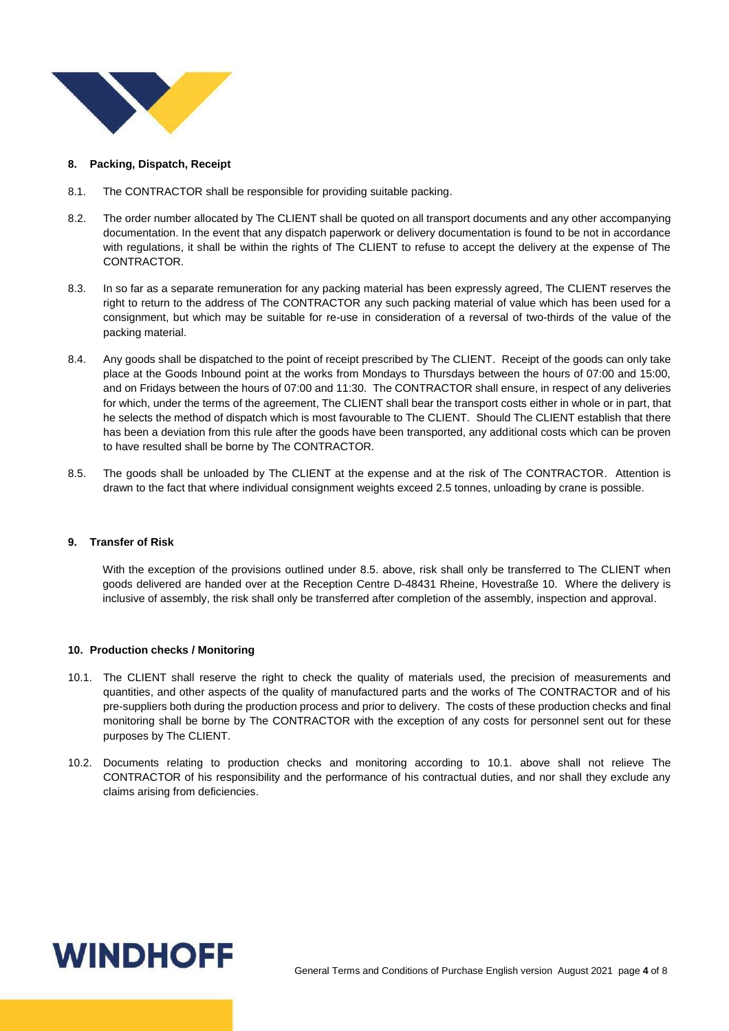

#### **8. Packing, Dispatch, Receipt**

- 8.1. The CONTRACTOR shall be responsible for providing suitable packing.
- 8.2. The order number allocated by The CLIENT shall be quoted on all transport documents and any other accompanying documentation. In the event that any dispatch paperwork or delivery documentation is found to be not in accordance with regulations, it shall be within the rights of The CLIENT to refuse to accept the delivery at the expense of The CONTRACTOR.
- 8.3. In so far as a separate remuneration for any packing material has been expressly agreed, The CLIENT reserves the right to return to the address of The CONTRACTOR any such packing material of value which has been used for a consignment, but which may be suitable for re-use in consideration of a reversal of two-thirds of the value of the packing material.
- 8.4. Any goods shall be dispatched to the point of receipt prescribed by The CLIENT. Receipt of the goods can only take place at the Goods Inbound point at the works from Mondays to Thursdays between the hours of 07:00 and 15:00, and on Fridays between the hours of 07:00 and 11:30. The CONTRACTOR shall ensure, in respect of any deliveries for which, under the terms of the agreement, The CLIENT shall bear the transport costs either in whole or in part, that he selects the method of dispatch which is most favourable to The CLIENT. Should The CLIENT establish that there has been a deviation from this rule after the goods have been transported, any additional costs which can be proven to have resulted shall be borne by The CONTRACTOR.
- 8.5. The goods shall be unloaded by The CLIENT at the expense and at the risk of The CONTRACTOR. Attention is drawn to the fact that where individual consignment weights exceed 2.5 tonnes, unloading by crane is possible.

#### **9. Transfer of Risk**

With the exception of the provisions outlined under 8.5. above, risk shall only be transferred to The CLIENT when goods delivered are handed over at the Reception Centre D-48431 Rheine, Hovestraße 10. Where the delivery is inclusive of assembly, the risk shall only be transferred after completion of the assembly, inspection and approval.

#### **10. Production checks / Monitoring**

- 10.1. The CLIENT shall reserve the right to check the quality of materials used, the precision of measurements and quantities, and other aspects of the quality of manufactured parts and the works of The CONTRACTOR and of his pre-suppliers both during the production process and prior to delivery. The costs of these production checks and final monitoring shall be borne by The CONTRACTOR with the exception of any costs for personnel sent out for these purposes by The CLIENT.
- 10.2. Documents relating to production checks and monitoring according to 10.1. above shall not relieve The CONTRACTOR of his responsibility and the performance of his contractual duties, and nor shall they exclude any claims arising from deficiencies.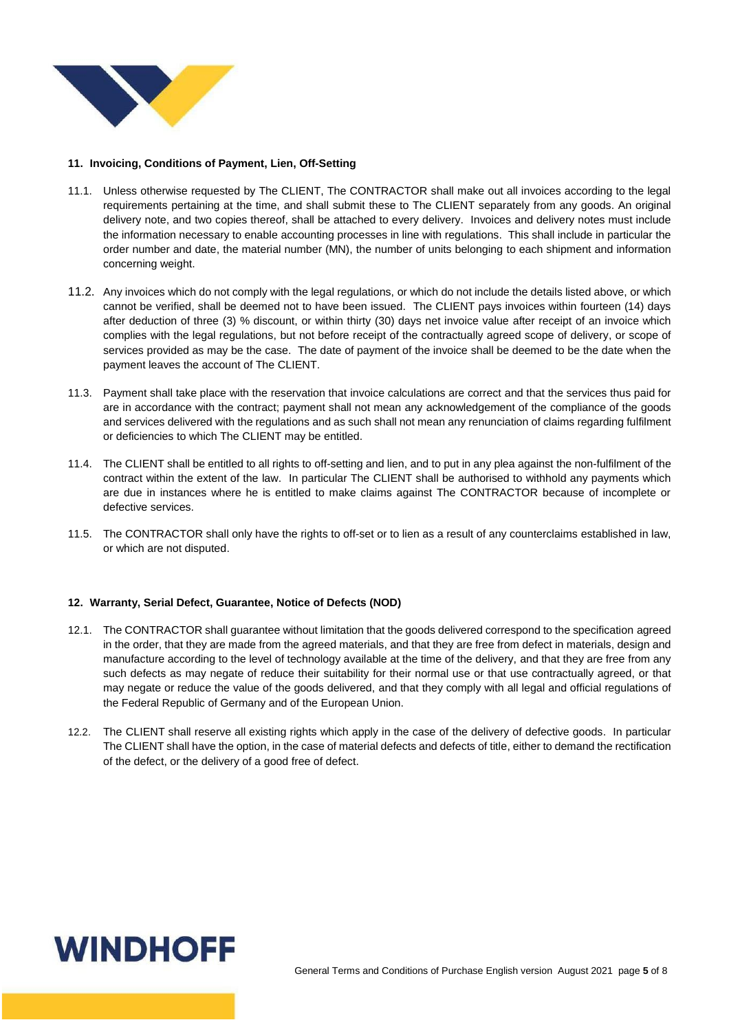

#### **11. Invoicing, Conditions of Payment, Lien, Off-Setting**

- 11.1. Unless otherwise requested by The CLIENT, The CONTRACTOR shall make out all invoices according to the legal requirements pertaining at the time, and shall submit these to The CLIENT separately from any goods. An original delivery note, and two copies thereof, shall be attached to every delivery. Invoices and delivery notes must include the information necessary to enable accounting processes in line with regulations. This shall include in particular the order number and date, the material number (MN), the number of units belonging to each shipment and information concerning weight.
- 11.2. Any invoices which do not comply with the legal regulations, or which do not include the details listed above, or which cannot be verified, shall be deemed not to have been issued. The CLIENT pays invoices within fourteen (14) days after deduction of three (3) % discount, or within thirty (30) days net invoice value after receipt of an invoice which complies with the legal regulations, but not before receipt of the contractually agreed scope of delivery, or scope of services provided as may be the case. The date of payment of the invoice shall be deemed to be the date when the payment leaves the account of The CLIENT.
- 11.3. Payment shall take place with the reservation that invoice calculations are correct and that the services thus paid for are in accordance with the contract; payment shall not mean any acknowledgement of the compliance of the goods and services delivered with the regulations and as such shall not mean any renunciation of claims regarding fulfilment or deficiencies to which The CLIENT may be entitled.
- 11.4. The CLIENT shall be entitled to all rights to off-setting and lien, and to put in any plea against the non-fulfilment of the contract within the extent of the law. In particular The CLIENT shall be authorised to withhold any payments which are due in instances where he is entitled to make claims against The CONTRACTOR because of incomplete or defective services.
- 11.5. The CONTRACTOR shall only have the rights to off-set or to lien as a result of any counterclaims established in law, or which are not disputed.

#### **12. Warranty, Serial Defect, Guarantee, Notice of Defects (NOD)**

- 12.1. The CONTRACTOR shall guarantee without limitation that the goods delivered correspond to the specification agreed in the order, that they are made from the agreed materials, and that they are free from defect in materials, design and manufacture according to the level of technology available at the time of the delivery, and that they are free from any such defects as may negate of reduce their suitability for their normal use or that use contractually agreed, or that may negate or reduce the value of the goods delivered, and that they comply with all legal and official regulations of the Federal Republic of Germany and of the European Union.
- 12.2. The CLIENT shall reserve all existing rights which apply in the case of the delivery of defective goods. In particular The CLIENT shall have the option, in the case of material defects and defects of title, either to demand the rectification of the defect, or the delivery of a good free of defect.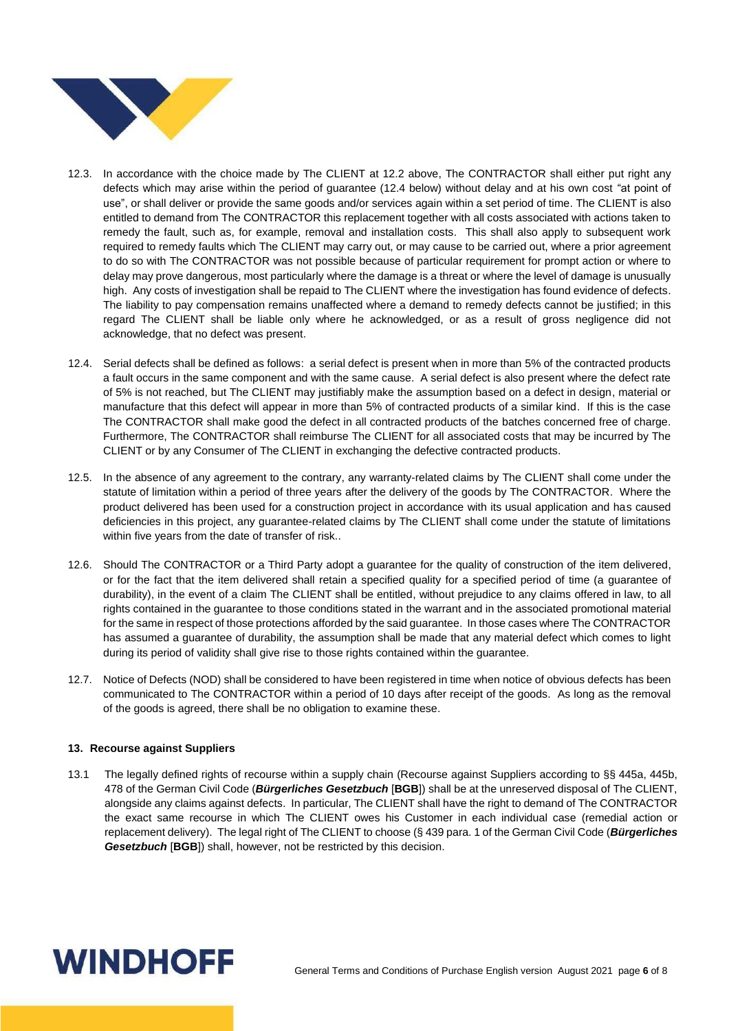

- 12.3. In accordance with the choice made by The CLIENT at 12.2 above, The CONTRACTOR shall either put right any defects which may arise within the period of guarantee (12.4 below) without delay and at his own cost "at point of use", or shall deliver or provide the same goods and/or services again within a set period of time. The CLIENT is also entitled to demand from The CONTRACTOR this replacement together with all costs associated with actions taken to remedy the fault, such as, for example, removal and installation costs. This shall also apply to subsequent work required to remedy faults which The CLIENT may carry out, or may cause to be carried out, where a prior agreement to do so with The CONTRACTOR was not possible because of particular requirement for prompt action or where to delay may prove dangerous, most particularly where the damage is a threat or where the level of damage is unusually high. Any costs of investigation shall be repaid to The CLIENT where the investigation has found evidence of defects. The liability to pay compensation remains unaffected where a demand to remedy defects cannot be justified; in this regard The CLIENT shall be liable only where he acknowledged, or as a result of gross negligence did not acknowledge, that no defect was present.
- 12.4. Serial defects shall be defined as follows: a serial defect is present when in more than 5% of the contracted products a fault occurs in the same component and with the same cause. A serial defect is also present where the defect rate of 5% is not reached, but The CLIENT may justifiably make the assumption based on a defect in design, material or manufacture that this defect will appear in more than 5% of contracted products of a similar kind. If this is the case The CONTRACTOR shall make good the defect in all contracted products of the batches concerned free of charge. Furthermore, The CONTRACTOR shall reimburse The CLIENT for all associated costs that may be incurred by The CLIENT or by any Consumer of The CLIENT in exchanging the defective contracted products.
- 12.5. In the absence of any agreement to the contrary, any warranty-related claims by The CLIENT shall come under the statute of limitation within a period of three years after the delivery of the goods by The CONTRACTOR. Where the product delivered has been used for a construction project in accordance with its usual application and has caused deficiencies in this project, any guarantee-related claims by The CLIENT shall come under the statute of limitations within five years from the date of transfer of risk..
- 12.6. Should The CONTRACTOR or a Third Party adopt a guarantee for the quality of construction of the item delivered, or for the fact that the item delivered shall retain a specified quality for a specified period of time (a guarantee of durability), in the event of a claim The CLIENT shall be entitled, without prejudice to any claims offered in law, to all rights contained in the guarantee to those conditions stated in the warrant and in the associated promotional material for the same in respect of those protections afforded by the said guarantee. In those cases where The CONTRACTOR has assumed a guarantee of durability, the assumption shall be made that any material defect which comes to light during its period of validity shall give rise to those rights contained within the guarantee.
- 12.7. Notice of Defects (NOD) shall be considered to have been registered in time when notice of obvious defects has been communicated to The CONTRACTOR within a period of 10 days after receipt of the goods. As long as the removal of the goods is agreed, there shall be no obligation to examine these.

#### **13. Recourse against Suppliers**

13.1 The legally defined rights of recourse within a supply chain (Recourse against Suppliers according to §§ 445a, 445b, 478 of the German Civil Code (*Bürgerliches Gesetzbuch* [**BGB**]) shall be at the unreserved disposal of The CLIENT, alongside any claims against defects. In particular, The CLIENT shall have the right to demand of The CONTRACTOR the exact same recourse in which The CLIENT owes his Customer in each individual case (remedial action or replacement delivery). The legal right of The CLIENT to choose (§ 439 para. 1 of the German Civil Code (*Bürgerliches*  **Gesetzbuch [BGB])** shall, however, not be restricted by this decision.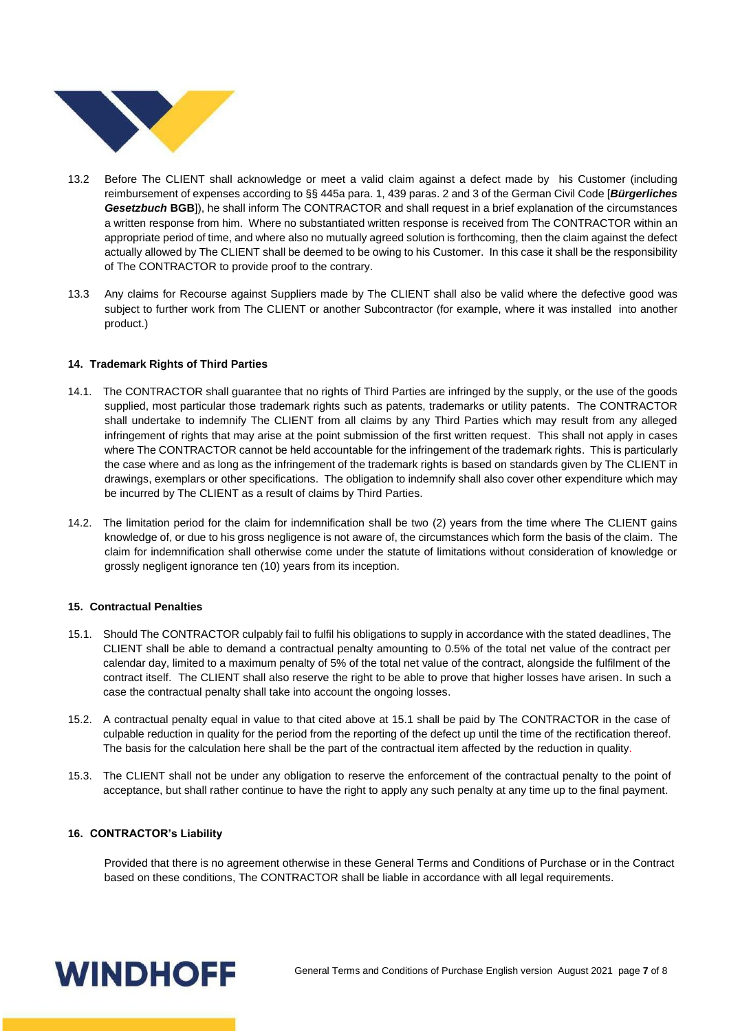

- 13.2 Before The CLIENT shall acknowledge or meet a valid claim against a defect made by his Customer (including reimbursement of expenses according to §§ 445a para. 1, 439 paras. 2 and 3 of the German Civil Code [*Bürgerliches Gesetzbuch* **BGB**]), he shall inform The CONTRACTOR and shall request in a brief explanation of the circumstances a written response from him. Where no substantiated written response is received from The CONTRACTOR within an appropriate period of time, and where also no mutually agreed solution is forthcoming, then the claim against the defect actually allowed by The CLIENT shall be deemed to be owing to his Customer. In this case it shall be the responsibility of The CONTRACTOR to provide proof to the contrary.
- 13.3 Any claims for Recourse against Suppliers made by The CLIENT shall also be valid where the defective good was subject to further work from The CLIENT or another Subcontractor (for example, where it was installed into another product.)

#### **14. Trademark Rights of Third Parties**

- 14.1. The CONTRACTOR shall guarantee that no rights of Third Parties are infringed by the supply, or the use of the goods supplied, most particular those trademark rights such as patents, trademarks or utility patents. The CONTRACTOR shall undertake to indemnify The CLIENT from all claims by any Third Parties which may result from any alleged infringement of rights that may arise at the point submission of the first written request. This shall not apply in cases where The CONTRACTOR cannot be held accountable for the infringement of the trademark rights. This is particularly the case where and as long as the infringement of the trademark rights is based on standards given by The CLIENT in drawings, exemplars or other specifications. The obligation to indemnify shall also cover other expenditure which may be incurred by The CLIENT as a result of claims by Third Parties.
- 14.2. The limitation period for the claim for indemnification shall be two (2) years from the time where The CLIENT gains knowledge of, or due to his gross negligence is not aware of, the circumstances which form the basis of the claim. The claim for indemnification shall otherwise come under the statute of limitations without consideration of knowledge or grossly negligent ignorance ten (10) years from its inception.

#### **15. Contractual Penalties**

- 15.1. Should The CONTRACTOR culpably fail to fulfil his obligations to supply in accordance with the stated deadlines, The CLIENT shall be able to demand a contractual penalty amounting to 0.5% of the total net value of the contract per calendar day, limited to a maximum penalty of 5% of the total net value of the contract, alongside the fulfilment of the contract itself. The CLIENT shall also reserve the right to be able to prove that higher losses have arisen. In such a case the contractual penalty shall take into account the ongoing losses.
- 15.2. A contractual penalty equal in value to that cited above at 15.1 shall be paid by The CONTRACTOR in the case of culpable reduction in quality for the period from the reporting of the defect up until the time of the rectification thereof. The basis for the calculation here shall be the part of the contractual item affected by the reduction in quality.
- 15.3. The CLIENT shall not be under any obligation to reserve the enforcement of the contractual penalty to the point of acceptance, but shall rather continue to have the right to apply any such penalty at any time up to the final payment.

#### **16. CONTRACTOR's Liability**

Provided that there is no agreement otherwise in these General Terms and Conditions of Purchase or in the Contract based on these conditions, The CONTRACTOR shall be liable in accordance with all legal requirements.